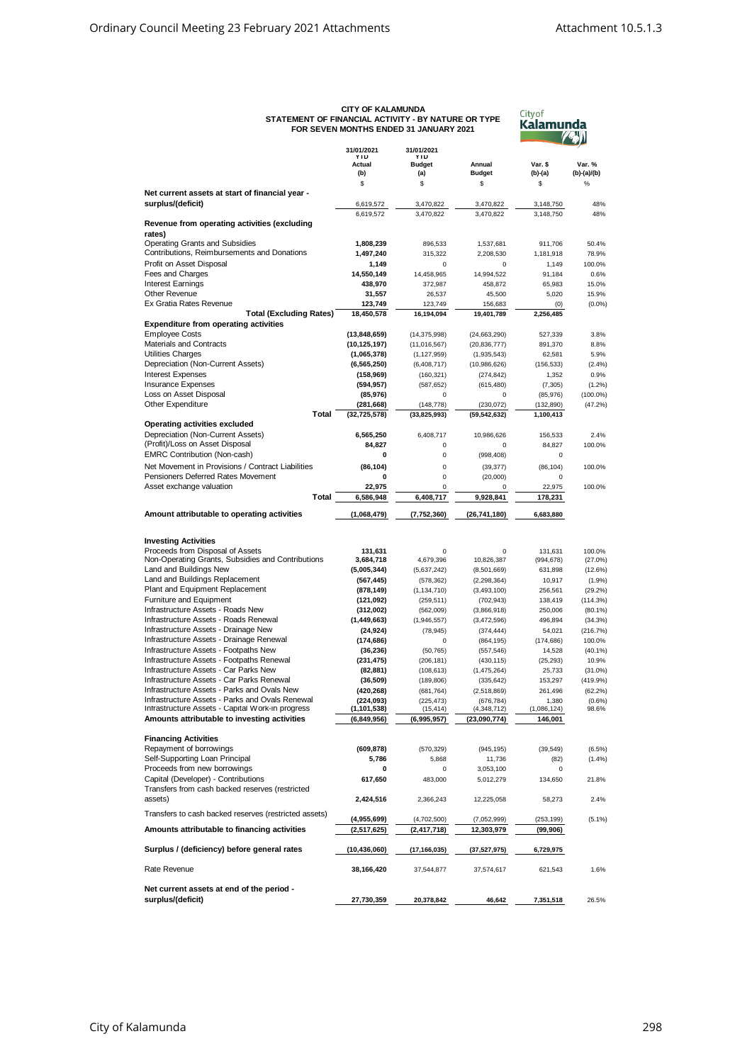## **CITY OF KALAMUNDA STATEMENT OF FINANCIAL ACTIVITY - BY NATURE OR TYPE FOR SEVEN MONTHS ENDED 31 JANUARY 2021**



|                                                       | 31/01/2021           | 31/01/2021           |                |             |             |
|-------------------------------------------------------|----------------------|----------------------|----------------|-------------|-------------|
|                                                       | <b>YTD</b><br>Actual | YTD<br><b>Budget</b> | Annual         | Var. \$     | Var. %      |
|                                                       | (b)                  | (a)                  | <b>Budget</b>  | $(b)-(a)$   | (b)-(a)/(b) |
|                                                       | \$                   | \$                   | \$             | \$          | %           |
| Net current assets at start of financial year -       |                      |                      |                |             |             |
| surplus/(deficit)                                     | 6,619,572            | 3,470,822            | 3,470,822      | 3,148,750   | 48%         |
|                                                       | 6,619,572            | 3,470,822            | 3,470,822      | 3.148.750   | 48%         |
| Revenue from operating activities (excluding          |                      |                      |                |             |             |
| rates)                                                |                      |                      |                |             |             |
| <b>Operating Grants and Subsidies</b>                 | 1,808,239            | 896,533              | 1,537,681      | 911,706     | 50.4%       |
| Contributions, Reimbursements and Donations           | 1,497,240            | 315,322              | 2,208,530      | 1,181,918   | 78.9%       |
| Profit on Asset Disposal                              | 1,149                | $\mathbf 0$          | $\mathbf 0$    | 1,149       | 100.0%      |
| Fees and Charges                                      | 14,550,149           | 14,458,965           | 14,994,522     | 91,184      | 0.6%        |
|                                                       |                      |                      |                |             |             |
| <b>Interest Earnings</b>                              | 438,970              | 372,987              | 458,872        | 65,983      | 15.0%       |
| Other Revenue                                         | 31,557               | 26,537               | 45,500         | 5,020       | 15.9%       |
| Ex Gratia Rates Revenue                               | 123,749              | 123,749              | 156,683        | (0)         | $(0.0\%)$   |
| <b>Total (Excluding Rates)</b>                        | 18,450,578           | 16,194,094           | 19,401,789     | 2,256,485   |             |
| <b>Expenditure from operating activities</b>          |                      |                      |                |             |             |
| <b>Employee Costs</b>                                 | (13,848,659)         | (14, 375, 998)       | (24, 663, 290) | 527,339     | 3.8%        |
| Materials and Contracts                               | (10, 125, 197)       | (11, 016, 567)       | (20, 836, 777) | 891,370     | 8.8%        |
| Utilities Charges                                     | (1,065,378)          | (1, 127, 959)        | (1,935,543)    | 62,581      | 5.9%        |
| Depreciation (Non-Current Assets)                     | (6, 565, 250)        | (6,408,717)          | (10, 986, 626) | (156, 533)  | (2.4%)      |
| <b>Interest Expenses</b>                              | (158, 969)           | (160, 321)           | (274, 842)     | 1,352       | 0.9%        |
| <b>Insurance Expenses</b>                             | (594, 957)           | (587, 652)           | (615, 480)     | (7, 305)    | $(1.2\%)$   |
| Loss on Asset Disposal                                | (85, 976)            | 0                    | 0              | (85, 976)   | $(100.0\%)$ |
| Other Expenditure                                     | (281, 668)           | (148, 778)           | (230, 072)     | (132, 890)  | (47.2%)     |
| Total                                                 | (32, 725, 578)       | (33,825,993)         | (59, 542, 632) | 1,100,413   |             |
| Operating activities excluded                         |                      |                      |                |             |             |
| Depreciation (Non-Current Assets)                     | 6,565,250            | 6,408,717            | 10,986,626     | 156,533     | 2.4%        |
| (Profit)/Loss on Asset Disposal                       | 84.827               | 0                    | 0              | 84,827      | 100.0%      |
| <b>EMRC Contribution (Non-cash)</b>                   | 0                    | 0                    | (998, 408)     | 0           |             |
| Net Movement in Provisions / Contract Liabilities     | (86, 104)            | $\pmb{0}$            | (39, 377)      | (86, 104)   | 100.0%      |
| Pensioners Deferred Rates Movement                    |                      | $\pmb{0}$            |                |             |             |
|                                                       | 0                    |                      | (20,000)       | 0           |             |
| Asset exchange valuation                              | 22.975               | $\mathbf 0$          | 0              | 22,975      | 100.0%      |
| <b>Total</b>                                          | 6,586,948            | 6,408,717            | 9,928,841      | 178,231     |             |
| Amount attributable to operating activities           | (1,068,479)          | (7, 752, 360)        | (26, 741, 180) | 6,683,880   |             |
|                                                       |                      |                      |                |             |             |
|                                                       |                      |                      |                |             |             |
| <b>Investing Activities</b>                           |                      |                      |                |             |             |
| Proceeds from Disposal of Assets                      | 131,631              | 0                    | $\Omega$       | 131,631     | 100.0%      |
| Non-Operating Grants, Subsidies and Contributions     | 3,684,718            | 4,679,396            | 10,826,387     | (994, 678)  | (27.0%)     |
| Land and Buildings New                                | (5,005,344)          | (5,637,242)          | (8,501,669)    | 631,898     | (12.6%)     |
| Land and Buildings Replacement                        | (567, 445)           | (578, 362)           | (2, 298, 364)  | 10,917      | (1.9%)      |
| Plant and Equipment Replacement                       | (878, 149)           | (1, 134, 710)        | (3, 493, 100)  | 256,561     | (29.2%)     |
| Furniture and Equipment                               | (121, 092)           | (259, 511)           | (702, 943)     | 138,419     | (114.3%)    |
| Infrastructure Assets - Roads New                     | (312,002)            | (562,009)            | (3,866,918)    | 250,006     | $(80.1\%)$  |
| Infrastructure Assets - Roads Renewal                 | (1,449,663)          | (1,946,557)          | (3,472,596)    | 496,894     | (34.3%)     |
| Infrastructure Assets - Drainage New                  | (24, 924)            | (78, 945)            | (374, 444)     | 54,021      | (216.7%)    |
| Infrastructure Assets - Drainage Renewal              | (174, 686)           | 0                    | (864, 195)     | (174, 686)  | 100.0%      |
| Infrastructure Assets - Footpaths New                 | (36, 236)            | (50, 765)            | (557, 546)     | 14,528      | $(40.1\%)$  |
| Infrastructure Assets - Footpaths Renewal             | (231, 475)           | (206, 181)           | (430, 115)     | (25, 293)   | 10.9%       |
| Infrastructure Assets - Car Parks New                 | (82, 881)            | (108, 613)           | (1, 475, 264)  | 25,733      | (31.0%)     |
| Infrastructure Assets - Car Parks Renewal             | (36, 509)            | (189, 806)           | (335, 642)     | 153,297     | (419.9%)    |
| Infrastructure Assets - Parks and Ovals New           | (420, 268)           | (681, 764)           | (2,518,869)    | 261,496     | (62.2%)     |
| Infrastructure Assets - Parks and Ovals Renewal       | (224, 093)           | (225, 473)           | (676, 784)     | 1,380       | $(0.6\%)$   |
| Infrastructure Assets - Capital Work-in progress      | (1, 101, 538)        | (15, 414)            | (4,348,712)    | (1,086,124) | 98.6%       |
| Amounts attributable to investing activities          | (6,849,956)          | (6,995,957)          | (23,090,774)   | 146,001     |             |
|                                                       |                      |                      |                |             |             |
| <b>Financing Activities</b>                           |                      |                      |                |             |             |
| Repayment of borrowings                               | (609, 878)           | (570, 329)           | (945, 195)     | (39, 549)   | (6.5%)      |
| Self-Supporting Loan Principal                        | 5,786                | 5,868                | 11,736         | (82)        | (1.4%)      |
| Proceeds from new borrowings                          | 0                    | 0                    | 3,053,100      | 0           |             |
| Capital (Developer) - Contributions                   | 617,650              | 483,000              |                |             | 21.8%       |
| Transfers from cash backed reserves (restricted       |                      |                      | 5,012,279      | 134,650     |             |
|                                                       |                      |                      | 12,225,058     |             |             |
| assets)                                               | 2,424,516            | 2,366,243            |                | 58,273      | 2.4%        |
| Transfers to cash backed reserves (restricted assets) |                      |                      |                |             |             |
|                                                       | (4,955,699)          | (4,702,500)          | (7,052,999)    | (253, 199)  | $(5.1\%)$   |
| Amounts attributable to financing activities          | (2,517,625)          | (2, 417, 718)        | 12,303,979     | (99, 906)   |             |
|                                                       |                      |                      |                |             |             |
| Surplus / (deficiency) before general rates           | (10,436,060)         | (17, 166, 035)       | (37, 527, 975) | 6,729,975   |             |
|                                                       |                      |                      |                |             |             |
| Rate Revenue                                          | 38,166,420           | 37,544,877           | 37,574,617     | 621,543     | 1.6%        |
|                                                       |                      |                      |                |             |             |
| Net current assets at end of the period -             |                      |                      |                |             |             |
| surplus/(deficit)                                     | 27,730,359           | 20,378,842           | 46,642         | 7,351,518   | 26.5%       |